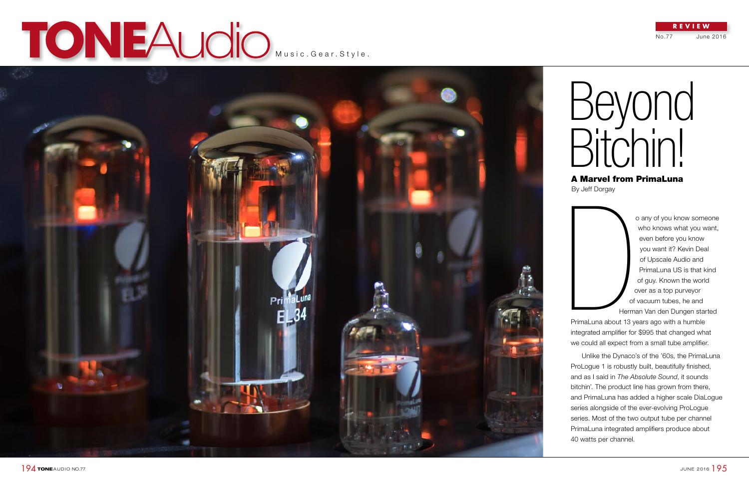# TONEAUCIO MUSIC.Gear.Style.



 $194$  TONEAUDIO NO.77

No.77 June 2016

## **REVIEW**

## Beyond Bitchin! A Marvel from PrimaLuna

By Jeff Dorgay

o any of you know someone who knows what you want, even before you know you want it? Kevin Deal of Upscale Audio and PrimaLuna US is that kind of guy. Known the world over as a top purveyor of vacuum tubes, he and Herman Van den Dungen started

Unlike the Dynaco's of the '60s, the PrimaLuna ProLogue 1 is robustly built, beautifully finished, and as I said in *The Absolute Sound*, it sounds bitchin'. The product line has grown from there, and PrimaLuna has added a higher scale DiaLogue series alongside of the ever-evolving ProLogue series. Most of the two output tube per channel PrimaLuna integrated amplifiers produce about by Jeff Dorgay<br>
40 of<br>
Herm<br>
PrimaLuna about 13 y<br>
integrated amplifier for<br>
we could all expect fro<br>
Unlike the Dynaco<br>
ProLogue 1 is robustly<br>
and as I said in *The Al*<br>
bitchin'. The product li<br>
and PrimaLuna has ac<br>
se

PrimaLuna about 13 years ago with a humble integrated amplifier for \$995 that changed what we could all expect from a small tube amplifier.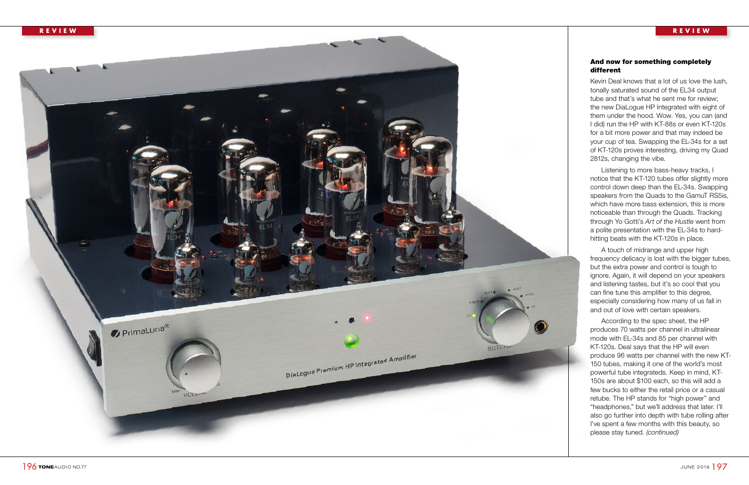## And now for something completely different

Kevin Deal knows that a lot of us love the lush, tonally saturated sound of the EL34 output tube and that's what he sent me for review; the new DiaLogue HP Integrated with eight of them under the hood. Wow. Yes, you can (and I did) run the HP with KT-88s or even KT-120s for a bit more power and that may indeed be your cup of tea. Swapping the EL-34s for a set of KT-120s proves interesting, driving my Quad 2812s, changing the vibe.

Listening to more bass-heavy tracks, I notice that the KT-120 tubes offer slightly more control down deep than the EL-34s. Swapping speakers from the Quads to the GamuT RS5is, which have more bass extension, this is more noticeable than through the Quads. Tracking through Yo Gotti's *Art of the Hustle* went from a polite presentation with the EL-34s to hardhitting beats with the KT-120s in place.

A touch of midrange and upper high frequency delicacy is lost with the bigger tubes, but the extra power and control is tough to ignore. Again, it will depend on your speakers and listening tastes, but it's so cool that you can fine tune this amplifier to this degree, especially considering how many of us fall in and out of love with certain speakers.

According to the spec sheet, the HP produces 70 watts per channel in ultralinear mode with EL-34s and 85 per channel with KT-120s. Deal says that the HP will even produce 96 watts per channel with the new KT-150 tubes, making it one of the world's most powerful tube integrateds. Keep in mind, KT-150s are about \$100 each, so this will add a few bucks to either the retail price or a casual retube. The HP stands for "high power" and "headphones," but we'll address that later. I'll also go further into depth with tube rolling after I've spent a few months with this beauty, so please stay tuned. *(continued)*

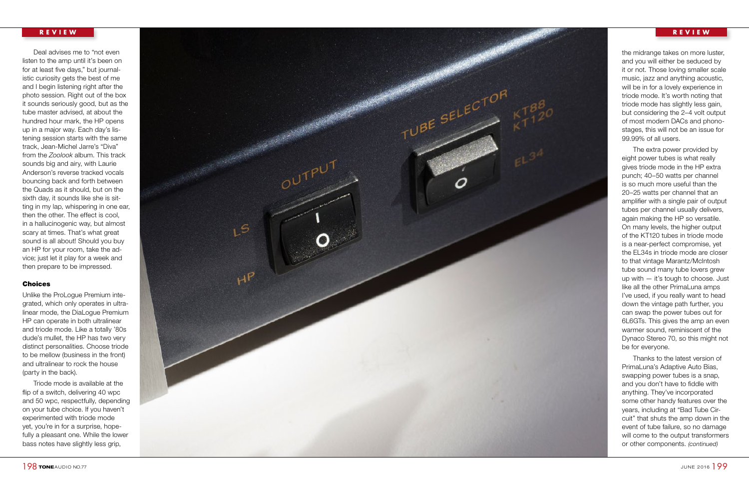Deal advises me to "not even listen to the amp until it's been on for at least five days," but journal istic curiosity gets the best of me and I begin listening right after the photo session. Right out of the box it sounds seriously good, but as the tube master advised, at about the hundred hour mark, the HP opens up in a major way. Each day's lis tening session starts with the same track, Jean-Michel Jarre's "Diva" from the *Zoolook* album. This track sounds big and airy, with Laurie Anderson's reverse tracked vocals bouncing back and forth between the Quads as it should, but on the sixth day, it sounds like she is sit ting in my lap, whispering in one ear, then the other. The effect is cool, in a hallucinogenic way, but almost scary at times. That's what great sound is all about! Should you buy an HP for your room, take the ad vice; just let it play for a week and then prepare to be impressed.

## Choices

Unlike the ProLogue Premium inte grated, which only operates in ultra linear mode, the DiaLogue Premium HP can operate in both ultralinear and triode mode. Like a totally '80s dude's mullet, the HP has two very distinct personalities. Choose triode to be mellow (business in the front) and ultralinear to rock the house (party in the back).

Triode mode is available at the flip of a switch, delivering 40 wpc and 50 wpc, respectfully, depending on your tube choice. If you haven't experimented with triode mode yet, you're in for a surprise, hope fully a pleasant one. While the lower bass notes have slightly less grip,

the midrange takes on more luster, and you will either be seduced by it or not. Those loving smaller scale music, jazz and anything acoustic, will be in for a lovely experience in triode mode. It's worth noting that triode mode has slightly less gain, but considering the 2–4 volt output of most modern DACs and phono stages, this will not be an issue for 99.99% of all users.

The extra power provided by eight power tubes is what really gives triode mode in the HP extra punch; 40–50 watts per channel is so much more useful than the 20–25 watts per channel that an amplifier with a single pair of output tubes per channel usually delivers, again making the HP so versatile. On many levels, the higher output of the KT120 tubes in triode mode is a near-perfect compromise, yet the EL34s in triode mode are closer to that vintage Marantz/McIntosh tube sound many tube lovers grew up with — it's tough to choose. Just like all the other PrimaLuna amps I've used, if you really want to head down the vintage path further, you can swap the power tubes out for 6L6GTs. This gives the amp an even warmer sound, reminiscent of the Dynaco Stereo 70, so this might not be for everyone.

Thanks to the latest version of PrimaLuna's Adaptive Auto Bias, swapping power tubes is a snap, and you don't have to fiddle with anything. They've incorporated some other handy features over the years, including at "Bad Tube Cir cuit" that shuts the amp down in the event of tube failure, so no damage will come to the output transformers or other components. *(continued)*

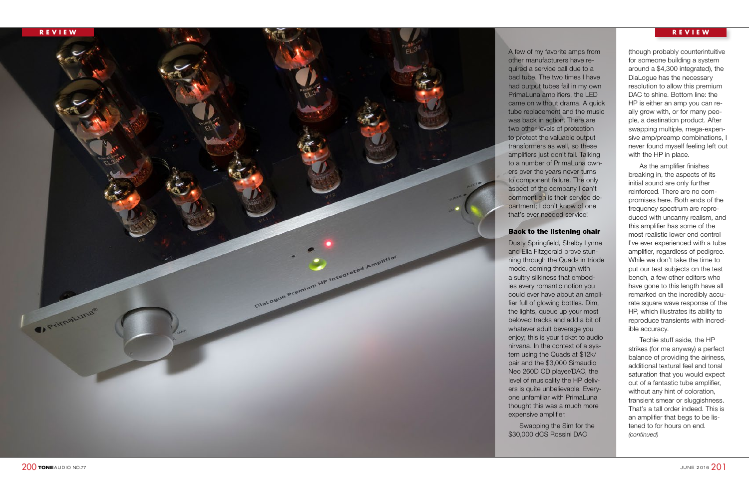A few of my favorite amps from other manufacturers have re quired a service call due to a bad tube. The two times I have had output tubes fail in my own PrimaLuna amplifiers, the LED came on without drama. A quick tube replacement and the music was back in action. There are two other levels of protection to protect the valuable output transformers as well, so these amplifiers just don't fail. Talking to a number of PrimaLuna own ers over the years never turns to component failure. The only aspect of the company I can't comment on is their service de partment; I don't know of one

## Back to the listening chair

Dusty Springfield, Shelby Lynne and Ella Fitzgerald prove stun ning through the Quads in triode a sultry silkiness that embod ies every romantic notion you could ever have about an ampli fier full of glowing bottles. Dim, the lights, queue up your most beloved tracks and add a bit of whatever adult beverage you enjoy; this is your ticket to audio nirvana. In the context of a sys tem using the Quads at \$12k/ pair and the \$3,000 Simaudio Neo 260D CD player/DAC, the level of musicality the HP deliv ers is quite unbelievable. Every one unfamiliar with PrimaLuna thought this was a much more

Swapping the Sim for the

(though probably counterintuitive for someone building a system around a \$4,300 integrated), the DiaLogue has the necessary resolution to allow this premium DAC to shine. Bottom line: the HP is either an amp you can re ally grow with, or for many peo ple, a destination product. After swapping multiple, mega-expen sive amp/preamp combinations, I never found myself feeling left out with the HP in place.

As the amplifier finishes breaking in, the aspects of its initial sound are only further reinforced. There are no com promises here. Both ends of the frequency spectrum are repro duced with uncanny realism, and this amplifier has some of the most realistic lower end control I've ever experienced with a tube amplifier, regardless of pedigree. While we don't take the time to put our test subjects on the test bench, a few other editors who have gone to this length have all remarked on the incredibly accu rate square wave response of the HP, which illustrates its ability to reproduce transients with incred ible accuracy.



 $200$  TONE AUDIO NO.77

Techie stuff aside, the HP strikes (for me anyway) a perfect balance of providing the airiness, additional textural feel and tonal saturation that you would expect out of a fantastic tube amplifier, without any hint of coloration, transient smear or sluggishness. That's a tall order indeed. This is an amplifier that begs to be lis tened to for hours on end. *(continued)*